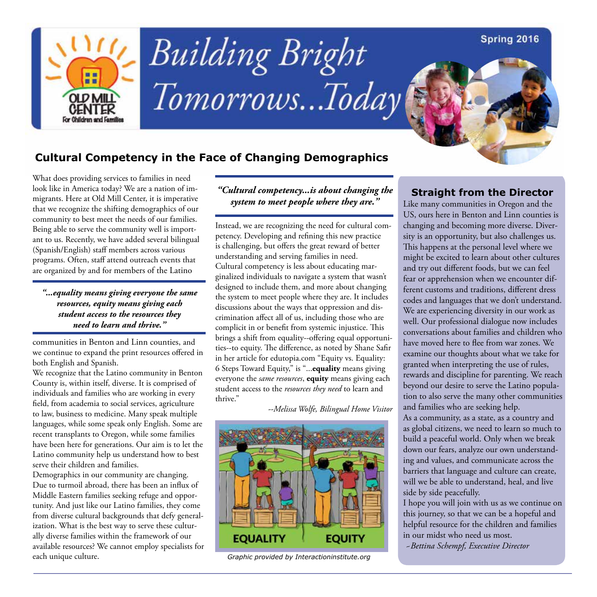### Spring 2016



# **Building Bright** Tomorrows...Today

## **Cultural Competency in the Face of Changing Demographics**

What does providing services to families in need look like in America today? We are a nation of immigrants. Here at Old Mill Center, it is imperative that we recognize the shifting demographics of our community to best meet the needs of our families. Being able to serve the community well is important to us. Recently, we have added several bilingual (Spanish/English) staff members across various programs. Often, staff attend outreach events that are organized by and for members of the Latino

*"...equality means giving everyone the same resources, equity means giving each student access to the resources they need to learn and thrive."* 

communities in Benton and Linn counties, and we continue to expand the print resources offered in both English and Spanish.

We recognize that the Latino community in Benton County is, within itself, diverse. It is comprised of individuals and families who are working in every field, from academia to social services, agriculture to law, business to medicine. Many speak multiple languages, while some speak only English. Some are recent transplants to Oregon, while some families have been here for generations. Our aim is to let the Latino community help us understand how to best serve their children and families.

Demographics in our community are changing. Due to turmoil abroad, there has been an influx of Middle Eastern families seeking refuge and opportunity. And just like our Latino families, they come from diverse cultural backgrounds that defy generalization. What is the best way to serve these culturally diverse families within the framework of our available resources? We cannot employ specialists for each unique culture.

*"Cultural competency...is about changing the system to meet people where they are."*

Instead, we are recognizing the need for cultural competency. Developing and refining this new practice is challenging, but offers the great reward of better understanding and serving families in need. Cultural competency is less about educating marginalized individuals to navigate a system that wasn't designed to include them, and more about changing the system to meet people where they are. It includes discussions about the ways that oppression and discrimination affect all of us, including those who are complicit in or benefit from systemic injustice. This brings a shift from equality--offering equal opportunities--to equity. The difference, as noted by Shane Safir in her article for edutopia.com "Equity vs. Equality: 6 Steps Toward Equity," is "...**equality** means giving everyone the *same resources*, **equity** means giving each student access to the *resources they need* to learn and thrive."

*--Melissa Wolfe, Bilingual Home Visitor*



*Graphic provided by Interactioninstitute.org*

## **Straight from the Director**

Like many communities in Oregon and the US, ours here in Benton and Linn counties is changing and becoming more diverse. Diversity is an opportunity, but also challenges us. This happens at the personal level where we might be excited to learn about other cultures and try out different foods, but we can feel fear or apprehension when we encounter different customs and traditions, different dress codes and languages that we don't understand. We are experiencing diversity in our work as well. Our professional dialogue now includes conversations about families and children who have moved here to flee from war zones. We examine our thoughts about what we take for granted when interpreting the use of rules, rewards and discipline for parenting. We reach beyond our desire to serve the Latino population to also serve the many other communities and families who are seeking help.

As a community, as a state, as a country and as global citizens, we need to learn so much to build a peaceful world. Only when we break down our fears, analyze our own understanding and values, and communicate across the barriers that language and culture can create, will we be able to understand, heal, and live side by side peacefully.

I hope you will join with us as we continue on this journey, so that we can be a hopeful and helpful resource for the children and families in our midst who need us most.

*~Bettina Schempf, Executive Director*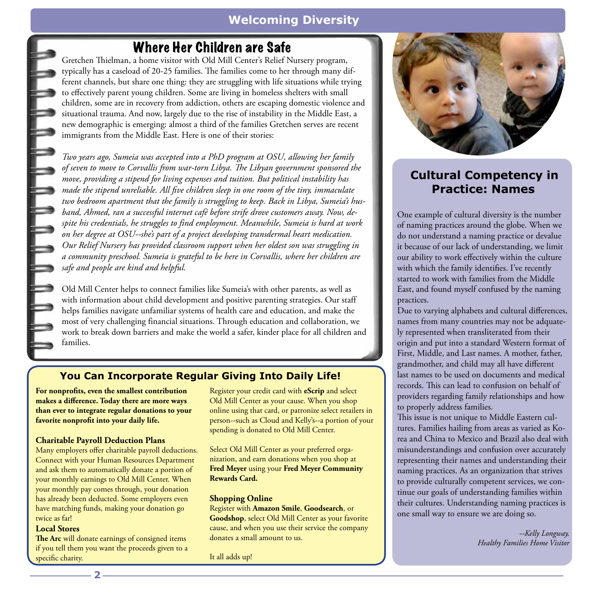## **Welcoming Diversity**

## Where Her Children are Safe

Gretchen Thielman, a home visitor with Old Mill Center's Relief Nursery program, typically has a caseload of 20-25 families. The families come to her through many different channels, but share one thing: they are struggling with life situations while trying to effectively parent young children. Some are living in homeless shelters with small children, some are in recovery from addiction, others are escaping domestic violence and situational trauma. And now, largely due to the rise of instability in the Middle East, a new demographic is emerging: almost a third of the families Gretchen serves are recent immigrants from the Middle East. Here is one of their stories:

*Two years ago, Sumeia was accepted into a PhD program at OSU, allowing her family of seven to move to Corvallis from war-torn Libya. The Libyan government sponsored the move, providing a stipend for living expenses and tuition. But political instability has made the stipend unreliable. All five children sleep in one room of the tiny, immaculate two bedroom apartment that the family is struggling to keep. Back in Libya, Sumeia's husband, Ahmed, ran a successful internet café before strife drove customers away. Now, despite his credentials, he struggles to find employment. Meanwhile, Sumeia is hard at work on her degree at OSU--she's part of a project developing transdermal heart medication. Our Relief Nursery has provided classroom support when her oldest son was struggling in a community preschool. Sumeia is grateful to be here in Corvallis, where her children are safe and people are kind and helpful.*

Old Mill Center helps to connect families like Sumeia's with other parents, as well as with information about child development and positive parenting strategies. Our staff helps families navigate unfamiliar systems of health care and education, and make the most of very challenging financial situations. Through education and collaboration, we work to break down barriers and make the world a safer, kinder place for all children and families.

## **You Can Incorporate Regular Giving Into Daily Life!**

**For nonprofits, even the smallest contribution makes a difference. Today there are more ways than ever to integrate regular donations to your favorite nonprofit into your daily life.**

#### **Charitable Payroll Deduction Plans**

Many employers offer charitable payroll deductions. Connect with your Human Resources Department and ask them to automatically donate a portion of your monthly earnings to Old Mill Center. When your monthly pay comes through, your donation has already been deducted. Some employers even have matching funds, making your donation go twice as far!

#### **Local Stores**

**The Arc** will donate earnings of consigned items if you tell them you want the proceeds given to a specific charity.

Register your credit card with **eScrip** and select Old Mill Center as your cause. When you shop online using that card, or patronize select retailers in person--such as Cloud and Kelly's--a portion of your spending is donated to Old Mill Center.

Select Old Mill Center as your preferred organization, and earn donations when you shop at **Fred Meyer** using your **Fred Meyer Community Rewards Card.**

#### **Shopping Online**

Register with **Amazon Smile**, **Goodsearch**, or **Goodshop**, select Old Mill Center as your favorite cause, and when you use their service the company donates a small amount to us.

It all adds up!



## **Cultural Competency in Practice: Names**

One example of cultural diversity is the number of naming practices around the globe. When we do not understand a naming practice or devalue it because of our lack of understanding, we limit our ability to work effectively within the culture with which the family identifies. I've recently started to work with families from the Middle East, and found myself confused by the naming practices.

Due to varying alphabets and cultural differences, names from many countries may not be adquately represented when transliterated from their origin and put into a standard Western format of First, Middle, and Last names. A mother, father, grandmother, and child may all have different last names to be used on documents and medical records. This can lead to confusion on behalf of providers regarding family relationships and how to properly address families.

This issue is not unique to Middle Eastern cultures. Families hailing from areas as varied as Korea and China to Mexico and Brazil also deal with misunderstandings and confusion over accurately representing their names and understanding their naming practices. As an organization that strives to provide culturally competent services, we continue our goals of understanding families within their cultures. Understanding naming practices is one small way to ensure we are doing so.

> *--Kelly Longway, Healthy Families Home Visitor*

**2**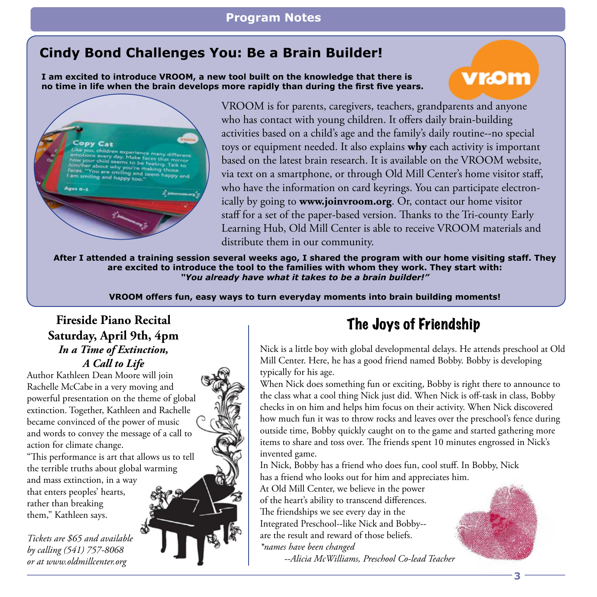## **Program Notes**

## **Cindy Bond Challenges You: Be a Brain Builder!**

**I am excited to introduce VROOM, a new tool built on the knowledge that there is no time in life when the brain develops more rapidly than during the first five years.**



**3**



VROOM is for parents, caregivers, teachers, grandparents and anyone who has contact with young children. It offers daily brain-building activities based on a child's age and the family's daily routine--no special toys or equipment needed. It also explains **why** each activity is important based on the latest brain research. It is available on the VROOM website, via text on a smartphone, or through Old Mill Center's home visitor staff, who have the information on card keyrings. You can participate electronically by going to **www.joinvroom.org**. Or, contact our home visitor staff for a set of the paper-based version. Thanks to the Tri-county Early Learning Hub, Old Mill Center is able to receive VROOM materials and distribute them in our community.

**After I attended a training session several weeks ago, I shared the program with our home visiting staff. They are excited to introduce the tool to the families with whom they work. They start with:** *"You already have what it takes to be a brain builder!"* 

**VROOM offers fun, easy ways to turn everyday moments into brain building moments!**

## **Fireside Piano Recital Saturday, April 9th, 4pm** *In a Time of Extinction, A Call to Life*

Author Kathleen Dean Moore will join Rachelle McCabe in a very moving and powerful presentation on the theme of global extinction. Together, Kathleen and Rachelle became convinced of the power of music and words to convey the message of a call to action for climate change.

"This performance is art that allows us to tell the terrible truths about global warming and mass extinction, in a way that enters peoples' hearts, rather than breaking them," Kathleen says.

*Tickets are \$65 and available by calling (541) 757-8068 or at www.oldmillcenter.org*



## The Joys of Friendship

Nick is a little boy with global developmental delays. He attends preschool at Old Mill Center. Here, he has a good friend named Bobby. Bobby is developing typically for his age.

When Nick does something fun or exciting, Bobby is right there to announce to the class what a cool thing Nick just did. When Nick is off-task in class, Bobby checks in on him and helps him focus on their activity. When Nick discovered how much fun it was to throw rocks and leaves over the preschool's fence during outside time, Bobby quickly caught on to the game and started gathering more items to share and toss over. The friends spent 10 minutes engrossed in Nick's invented game.

In Nick, Bobby has a friend who does fun, cool stuff. In Bobby, Nick has a friend who looks out for him and appreciates him.

At Old Mill Center, we believe in the power of the heart's ability to transcend differences. The friendships we see every day in the Integrated Preschool--like Nick and Bobby- are the result and reward of those beliefs.

*\*names have been changed*

 *--Alicia McWilliams, Preschool Co-lead Teacher*